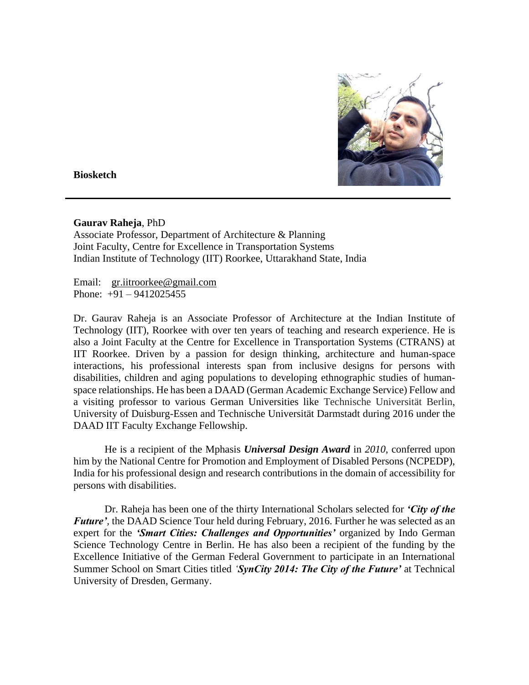

**Biosketch**

## **Gaurav Raheja**, PhD

Associate Professor, Department of Architecture & Planning Joint Faculty, Centre for Excellence in Transportation Systems Indian Institute of Technology (IIT) Roorkee, Uttarakhand State, India

Email: [gr.iitroorkee@gmail.com](mailto:gr.iitroorkee@gmail.com)  Phone:  $+91 - 9412025455$ 

Dr. Gaurav Raheja is an Associate Professor of Architecture at the Indian Institute of Technology (IIT), Roorkee with over ten years of teaching and research experience. He is also a Joint Faculty at the Centre for Excellence in Transportation Systems (CTRANS) at IIT Roorkee. Driven by a passion for design thinking, architecture and human-space interactions, his professional interests span from inclusive designs for persons with disabilities, children and aging populations to developing ethnographic studies of humanspace relationships. He has been a DAAD (German Academic Exchange Service) Fellow and a visiting professor to various German Universities like Technische Universität Berlin, University of Duisburg-Essen and Technische Universität Darmstadt during 2016 under the DAAD IIT Faculty Exchange Fellowship.

He is a recipient of the Mphasis *Universal Design Award* in *2010*, conferred upon him by the National Centre for Promotion and Employment of Disabled Persons (NCPEDP), India for his professional design and research contributions in the domain of accessibility for persons with disabilities.

Dr. Raheja has been one of the thirty International Scholars selected for *'City of the Future',* the DAAD Science Tour held during February, 2016. Further he was selected as an expert for the *'Smart Cities: Challenges and Opportunities'* organized by Indo German Science Technology Centre in Berlin. He has also been a recipient of the funding by the Excellence Initiative of the German Federal Government to participate in an International Summer School on Smart Cities titled *'SynCity 2014: The City of the Future'* at Technical University of Dresden, Germany.